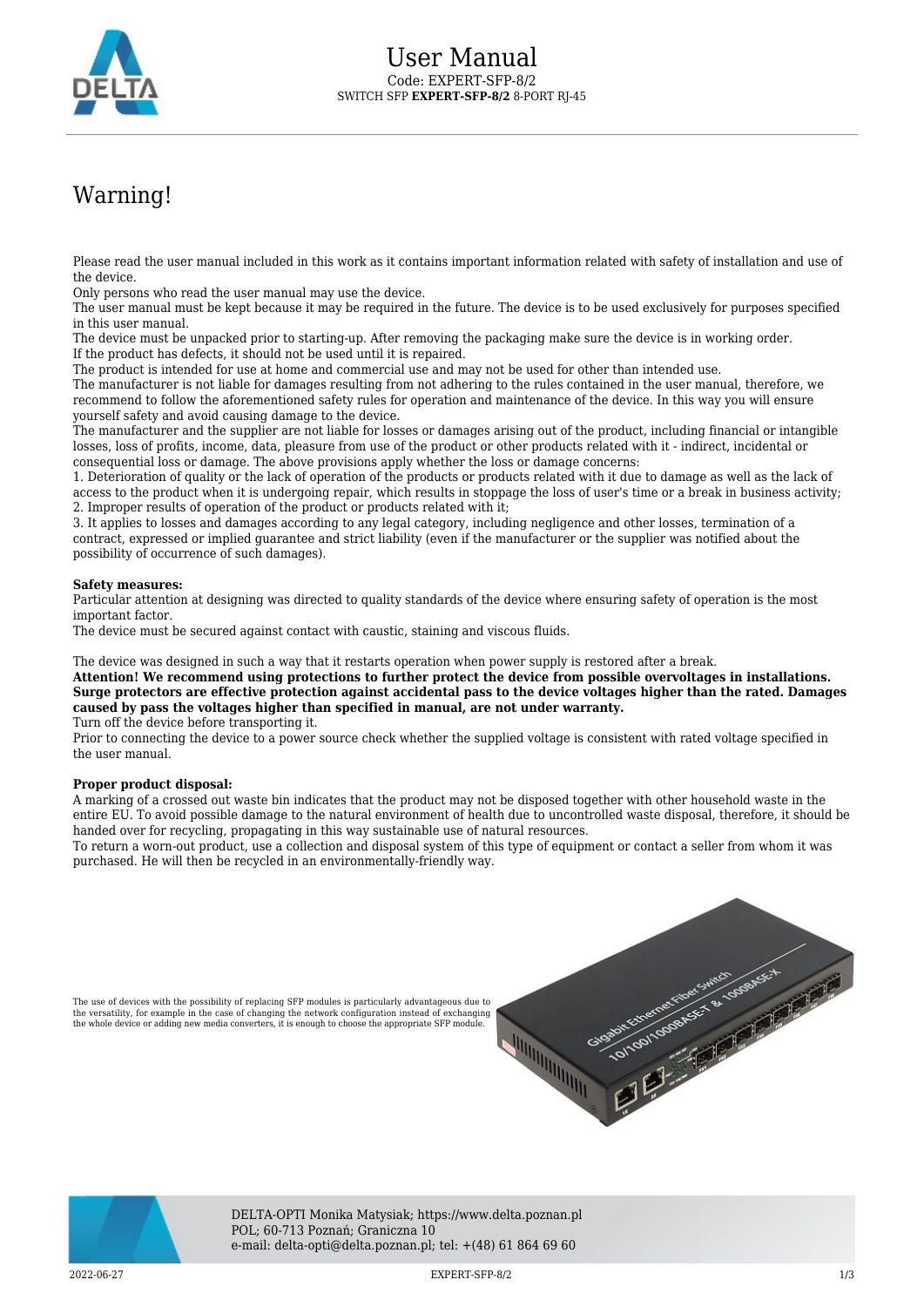

## Warning!

Please read the user manual included in this work as it contains important information related with safety of installation and use of the device.

Only persons who read the user manual may use the device.

The user manual must be kept because it may be required in the future. The device is to be used exclusively for purposes specified in this user manual.

The device must be unpacked prior to starting-up. After removing the packaging make sure the device is in working order. If the product has defects, it should not be used until it is repaired.

The product is intended for use at home and commercial use and may not be used for other than intended use.

The manufacturer is not liable for damages resulting from not adhering to the rules contained in the user manual, therefore, we recommend to follow the aforementioned safety rules for operation and maintenance of the device. In this way you will ensure yourself safety and avoid causing damage to the device.

The manufacturer and the supplier are not liable for losses or damages arising out of the product, including financial or intangible losses, loss of profits, income, data, pleasure from use of the product or other products related with it - indirect, incidental or consequential loss or damage. The above provisions apply whether the loss or damage concerns:

1. Deterioration of quality or the lack of operation of the products or products related with it due to damage as well as the lack of access to the product when it is undergoing repair, which results in stoppage the loss of user's time or a break in business activity; 2. Improper results of operation of the product or products related with it;

3. It applies to losses and damages according to any legal category, including negligence and other losses, termination of a contract, expressed or implied guarantee and strict liability (even if the manufacturer or the supplier was notified about the possibility of occurrence of such damages).

## **Safety measures:**

Particular attention at designing was directed to quality standards of the device where ensuring safety of operation is the most important factor.

The device must be secured against contact with caustic, staining and viscous fluids.

The device was designed in such a way that it restarts operation when power supply is restored after a break.

**Attention! We recommend using protections to further protect the device from possible overvoltages in installations. Surge protectors are effective protection against accidental pass to the device voltages higher than the rated. Damages caused by pass the voltages higher than specified in manual, are not under warranty.** Turn off the device before transporting it.

Prior to connecting the device to a power source check whether the supplied voltage is consistent with rated voltage specified in the user manual.

## **Proper product disposal:**

A marking of a crossed out waste bin indicates that the product may not be disposed together with other household waste in the entire EU. To avoid possible damage to the natural environment of health due to uncontrolled waste disposal, therefore, it should be handed over for recycling, propagating in this way sustainable use of natural resources.

To return a worn-out product, use a collection and disposal system of this type of equipment or contact a seller from whom it was purchased. He will then be recycled in an environmentally-friendly way.





DELTA-OPTI Monika Matysiak; https://www.delta.poznan.pl POL; 60-713 Poznań; Graniczna 10 e-mail: delta-opti@delta.poznan.pl; tel: +(48) 61 864 69 60

2022-06-27 EXPERT-SFP-8/2 1/3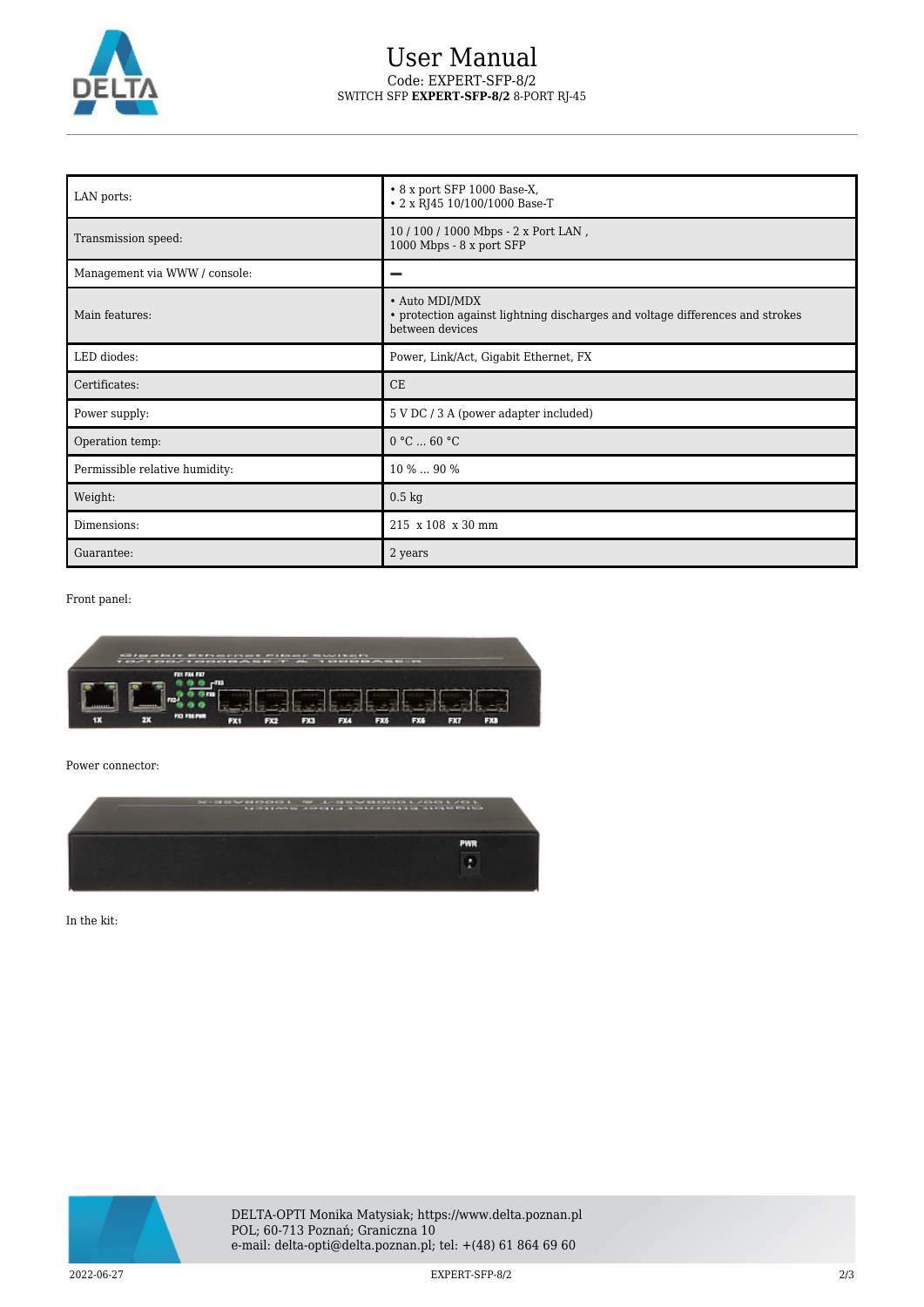

## User Manual Code: EXPERT-SFP-8/2 SWITCH SFP **EXPERT-SFP-8/2** 8-PORT RJ-45

| LAN ports:                     | • 8 x port SFP 1000 Base-X,<br>• 2 x RJ45 10/100/1000 Base-T                                                       |
|--------------------------------|--------------------------------------------------------------------------------------------------------------------|
| Transmission speed:            | 10 / 100 / 1000 Mbps - 2 x Port LAN,<br>1000 Mbps - 8 x port SFP                                                   |
| Management via WWW / console:  |                                                                                                                    |
| Main features:                 | · Auto MDI/MDX<br>• protection against lightning discharges and voltage differences and strokes<br>between devices |
| LED diodes:                    | Power, Link/Act, Gigabit Ethernet, FX                                                                              |
| Certificates:                  | CE                                                                                                                 |
| Power supply:                  | 5 V DC / 3 A (power adapter included)                                                                              |
| Operation temp:                | 0 °C  60 °C                                                                                                        |
| Permissible relative humidity: | 10 %  90 %                                                                                                         |
| Weight:                        | $0.5 \text{ kg}$                                                                                                   |
| Dimensions:                    | 215 x 108 x 30 mm                                                                                                  |
| Guarantee:                     | 2 years                                                                                                            |

Front panel:

![](_page_1_Picture_4.jpeg)

Power connector:

![](_page_1_Picture_6.jpeg)

In the kit:

![](_page_1_Picture_8.jpeg)